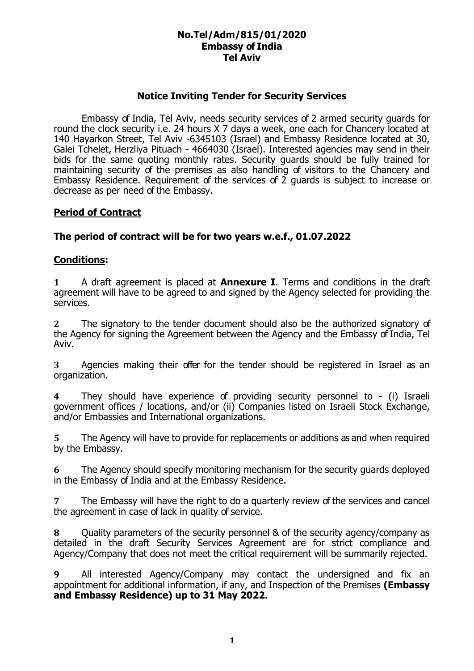#### **No.Tel/Adm/815/01/2020 Embassy of India Tel Aviv**

### **Notice Inviting Tender for Security Services**

Embassy of India, Tel Aviv, needs security services of 2 armed security guards for round the clock security i.e. 24 hours X 7 days a week, one each for Chancery located at 140 Hayarkon Street, Tel Aviv -6345103 (Israel) and Embassy Residence located at 30, Galei Tchelet, Herzliya Pituach - 4664030 (Israel). Interested agencies may send in their bids for the same quoting monthly rates. Security guards should be fully trained for maintaining security of the premises as also handling of visitors to the Chancery and Embassy Residence. Requirement of the services of 2 guards is subject to increase or decrease as per need of the Embassy.

### **Period of Contract**

### **The period of contract will be for two years w.e.f., 01.07.2022**

#### **Conditions:**

**1** A draft agreement is placed at **Annexure I**. Terms and conditions in the draft agreement will have to be agreed to and signed by the Agency selected for providing the services.

**2** The signatory to the tender document should also be the authorized signatory of the Agency for signing the Agreement between the Agency and the Embassy of India, Tel Aviv.

**3** Agencies making their offer for the tender should be registered in Israel as an organization.

**4** They should have experience of providing security personnel to - (i) Israeli government offices / locations, and/or (ii) Companies listed on Israeli Stock Exchange, and/or Embassies and International organizations.

**5** The Agency will have to provide for replacements or additions as and when required by the Embassy.

**6** The Agency should specify monitoring mechanism for the security guards deployed in the Embassy of India and at the Embassy Residence.

**7** The Embassy will have the right to do a quarterly review of the services and cancel the agreement in case of lack in quality of service.

**8** Quality parameters of the security personnel & of the security agency/company as detailed in the draft Security Services Agreement are for strict compliance and Agency/Company that does not meet the critical requirement will be summarily rejected.

**9** All interested Agency/Company may contact the undersigned and fix an appointment for additional information, if any, and Inspection of the Premises **(Embassy and Embassy Residence) up to 31 May 2022.**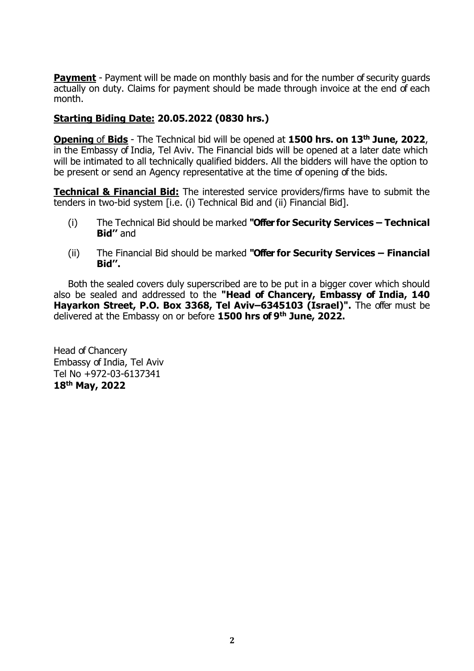**Payment** - Payment will be made on monthly basis and for the number of security quards actually on duty. Claims for payment should be made through invoice at the end of each month.

## **Starting Biding Date: 20.05.2022 (0830 hrs.)**

**Opening** of **Bids** - The Technical bid will be opened at **1500 hrs. on 13 th June, 2022**, in the Embassy of India, Tel Aviv. The Financial bids will be opened at a later date which will be intimated to all technically qualified bidders. All the bidders will have the option to be present or send an Agency representative at the time of opening of the bids.

**Technical & Financial Bid:** The interested service providers/firms have to submit the tenders in two-bid system [i.e. (i) Technical Bid and (ii) Financial Bid].

- (i) The Technical Bid should be marked **"Offer for Security Services – Technical Bid''** and
- (ii) The Financial Bid should be marked **"Offer for Security Services – Financial Bid''.**

Both the sealed covers duly superscribed are to be put in a bigger cover which should also be sealed and addressed to the **"Head of Chancery, Embassy of India, 140 Hayarkon Street, P.O. Box 3368, Tel Aviv–6345103 (Israel)".** The offer must be delivered at the Embassy on or before **1500 hrs of 9 th June, 2022.**

Head of Chancery Embassy of India, Tel Aviv Tel No +972-03-6137341 **18th May, 2022**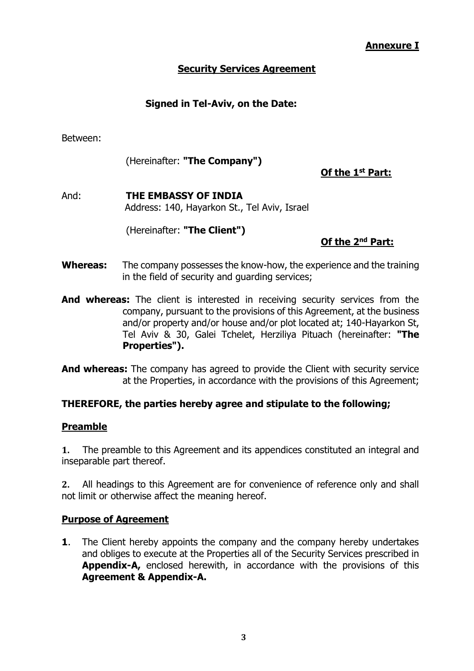### **Annexure I**

## **Security Services Agreement**

## **Signed in Tel-Aviv, on the Date:**

Between:

(Hereinafter: **"The Company")**

**Of the 1st Part:**

And: **THE EMBASSY OF INDIA** Address: 140, Hayarkon St., Tel Aviv, Israel

(Hereinafter: **"The Client")**

## **Of the 2nd Part:**

- **Whereas:** The company possesses the know-how, the experience and the training in the field of security and guarding services;
- **And whereas:** The client is interested in receiving security services from the company, pursuant to the provisions of this Agreement, at the business and/or property and/or house and/or plot located at; 140-Hayarkon St, Tel Aviv & 30, Galei Tchelet, Herziliya Pituach (hereinafter: **"The Properties").**
- **And whereas:** The company has agreed to provide the Client with security service at the Properties, in accordance with the provisions of this Agreement;

### **THEREFORE, the parties hereby agree and stipulate to the following;**

#### **Preamble**

**1.** The preamble to this Agreement and its appendices constituted an integral and inseparable part thereof.

**2.** All headings to this Agreement are for convenience of reference only and shall not limit or otherwise affect the meaning hereof.

### **Purpose of Agreement**

**1**. The Client hereby appoints the company and the company hereby undertakes and obliges to execute at the Properties all of the Security Services prescribed in **Appendix-A,** enclosed herewith, in accordance with the provisions of this **Agreement & Appendix-A.**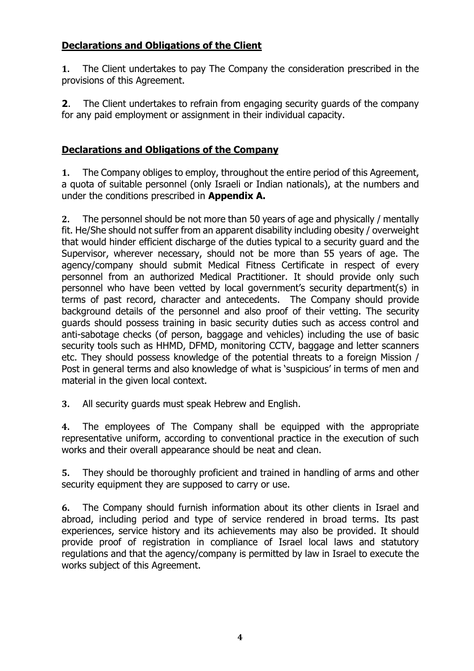# **Declarations and Obligations of the Client**

**1.** The Client undertakes to pay The Company the consideration prescribed in the provisions of this Agreement.

**2**. The Client undertakes to refrain from engaging security guards of the company for any paid employment or assignment in their individual capacity.

## **Declarations and Obligations of the Company**

**1.** The Company obliges to employ, throughout the entire period of this Agreement, a quota of suitable personnel (only Israeli or Indian nationals), at the numbers and under the conditions prescribed in **Appendix A.**

**2.** The personnel should be not more than 50 years of age and physically / mentally fit. He/She should not suffer from an apparent disability including obesity / overweight that would hinder efficient discharge of the duties typical to a security guard and the Supervisor, wherever necessary, should not be more than 55 years of age. The agency/company should submit Medical Fitness Certificate in respect of every personnel from an authorized Medical Practitioner. It should provide only such personnel who have been vetted by local government's security department(s) in terms of past record, character and antecedents. The Company should provide background details of the personnel and also proof of their vetting. The security guards should possess training in basic security duties such as access control and anti-sabotage checks (of person, baggage and vehicles) including the use of basic security tools such as HHMD, DFMD, monitoring CCTV, baggage and letter scanners etc. They should possess knowledge of the potential threats to a foreign Mission / Post in general terms and also knowledge of what is 'suspicious' in terms of men and material in the given local context.

**3.** All security guards must speak Hebrew and English.

**4.** The employees of The Company shall be equipped with the appropriate representative uniform, according to conventional practice in the execution of such works and their overall appearance should be neat and clean.

**5.** They should be thoroughly proficient and trained in handling of arms and other security equipment they are supposed to carry or use.

**6.** The Company should furnish information about its other clients in Israel and abroad, including period and type of service rendered in broad terms. Its past experiences, service history and its achievements may also be provided. It should provide proof of registration in compliance of Israel local laws and statutory regulations and that the agency/company is permitted by law in Israel to execute the works subject of this Agreement.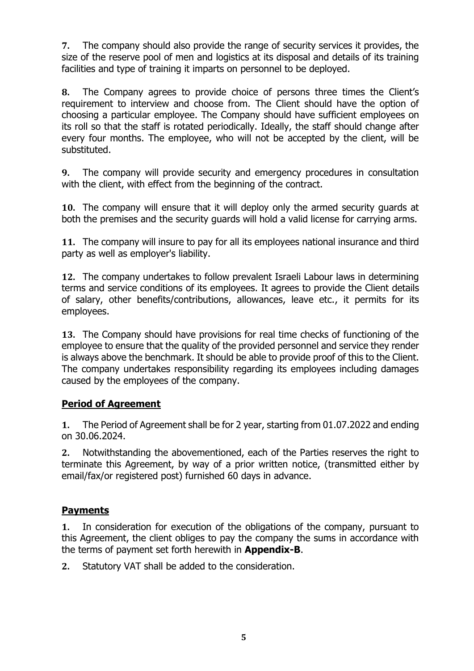**7.** The company should also provide the range of security services it provides, the size of the reserve pool of men and logistics at its disposal and details of its training facilities and type of training it imparts on personnel to be deployed.

**8.** The Company agrees to provide choice of persons three times the Client's requirement to interview and choose from. The Client should have the option of choosing a particular employee. The Company should have sufficient employees on its roll so that the staff is rotated periodically. Ideally, the staff should change after every four months. The employee, who will not be accepted by the client, will be substituted.

**9.** The company will provide security and emergency procedures in consultation with the client, with effect from the beginning of the contract.

**10.** The company will ensure that it will deploy only the armed security guards at both the premises and the security guards will hold a valid license for carrying arms.

**11.** The company will insure to pay for all its employees national insurance and third party as well as employer's liability.

**12.** The company undertakes to follow prevalent Israeli Labour laws in determining terms and service conditions of its employees. It agrees to provide the Client details of salary, other benefits/contributions, allowances, leave etc., it permits for its employees.

**13.** The Company should have provisions for real time checks of functioning of the employee to ensure that the quality of the provided personnel and service they render is always above the benchmark. It should be able to provide proof of this to the Client. The company undertakes responsibility regarding its employees including damages caused by the employees of the company.

# **Period of Agreement**

**1.** The Period of Agreement shall be for 2 year, starting from 01.07.2022 and ending on 30.06.2024.

**2.** Notwithstanding the abovementioned, each of the Parties reserves the right to terminate this Agreement, by way of a prior written notice, (transmitted either by email/fax/or registered post) furnished 60 days in advance.

### **Payments**

**1.** In consideration for execution of the obligations of the company, pursuant to this Agreement, the client obliges to pay the company the sums in accordance with the terms of payment set forth herewith in **Appendix-B**.

**2.** Statutory VAT shall be added to the consideration.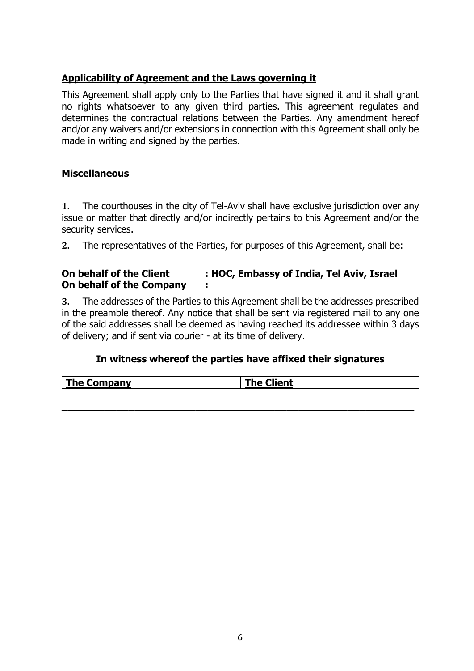# **Applicability of Agreement and the Laws governing it**

This Agreement shall apply only to the Parties that have signed it and it shall grant no rights whatsoever to any given third parties. This agreement regulates and determines the contractual relations between the Parties. Any amendment hereof and/or any waivers and/or extensions in connection with this Agreement shall only be made in writing and signed by the parties.

## **Miscellaneous**

**1.** The courthouses in the city of Tel-Aviv shall have exclusive jurisdiction over any issue or matter that directly and/or indirectly pertains to this Agreement and/or the security services.

**2.** The representatives of the Parties, for purposes of this Agreement, shall be:

## **On behalf of the Client : HOC, Embassy of India, Tel Aviv, Israel On behalf of the Company :**

**3.** The addresses of the Parties to this Agreement shall be the addresses prescribed in the preamble thereof. Any notice that shall be sent via registered mail to any one of the said addresses shall be deemed as having reached its addressee within 3 days of delivery; and if sent via courier - at its time of delivery.

# **In witness whereof the parties have affixed their signatures**

| ----<br>ompany<br>' ne<br>ent<br>.ni<br>. |
|-------------------------------------------|
|-------------------------------------------|

**\_\_\_\_\_\_\_\_\_\_\_\_\_\_\_\_\_\_\_\_\_\_\_\_\_\_\_\_\_\_\_\_\_\_\_\_\_\_\_\_\_\_\_\_\_\_\_\_\_\_\_\_\_\_\_\_\_\_**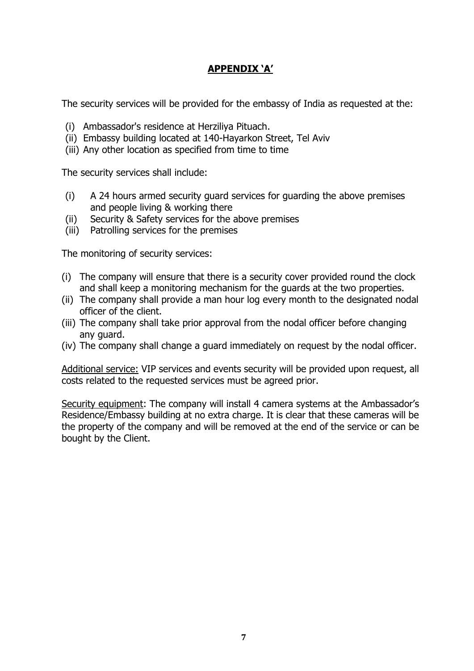# **APPENDIX 'A'**

The security services will be provided for the embassy of India as requested at the:

- (i) Ambassador's residence at Herziliya Pituach.
- (ii) Embassy building located at 140-Hayarkon Street, Tel Aviv
- (iii) Any other location as specified from time to time

The security services shall include:

- (i) A 24 hours armed security guard services for guarding the above premises and people living & working there
- (ii) Security & Safety services for the above premises
- (iii) Patrolling services for the premises

The monitoring of security services:

- (i) The company will ensure that there is a security cover provided round the clock and shall keep a monitoring mechanism for the guards at the two properties.
- (ii) The company shall provide a man hour log every month to the designated nodal officer of the client.
- (iii) The company shall take prior approval from the nodal officer before changing any guard.
- (iv) The company shall change a guard immediately on request by the nodal officer.

Additional service: VIP services and events security will be provided upon request, all costs related to the requested services must be agreed prior.

Security equipment: The company will install 4 camera systems at the Ambassador's Residence/Embassy building at no extra charge. It is clear that these cameras will be the property of the company and will be removed at the end of the service or can be bought by the Client.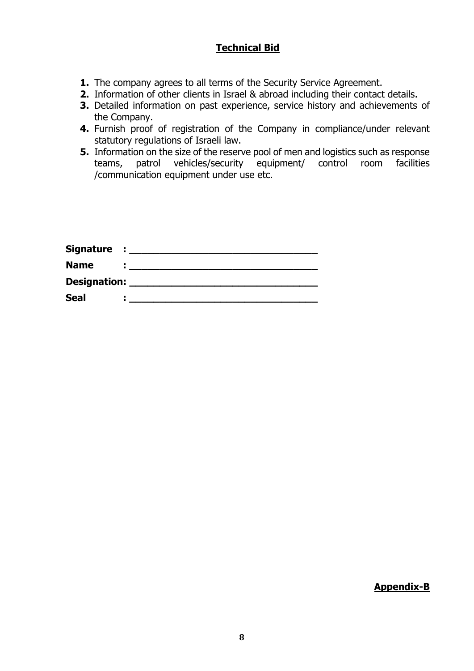# **Technical Bid**

- **1.** The company agrees to all terms of the Security Service Agreement.
- **2.** Information of other clients in Israel & abroad including their contact details.
- **3.** Detailed information on past experience, service history and achievements of the Company.
- **4.** Furnish proof of registration of the Company in compliance/under relevant statutory regulations of Israeli law.
- **5.** Information on the size of the reserve pool of men and logistics such as response teams, patrol vehicles/security equipment/ control room facilities /communication equipment under use etc.

| Signature : _____   |  |
|---------------------|--|
| <b>Name</b>         |  |
| <b>Designation:</b> |  |
| <b>Seal</b>         |  |

**Appendix-B**